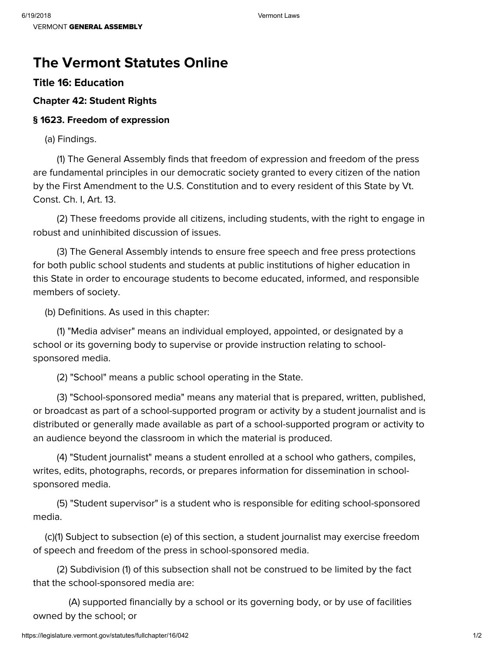# **The Vermont Statutes Online**

## **Title 16: [Education](https://legislature.vermont.gov/statutes/title/16)**

### **[Chapter](https://legislature.vermont.gov/statutes/chapter/16/042) 42: Student Rights**

#### **§ 1623. Freedom of expression**

(a) Findings.

(1) The General Assembly finds that freedom of expression and freedom of the press are fundamental principles in our democratic society granted to every citizen of the nation by the First Amendment to the U.S. Constitution and to every resident of this State by Vt. Const. Ch. I, Art. 13.

(2) These freedoms provide all citizens, including students, with the right to engage in robust and uninhibited discussion of issues.

(3) The General Assembly intends to ensure free speech and free press protections for both public school students and students at public institutions of higher education in this State in order to encourage students to become educated, informed, and responsible members of society.

(b) Definitions. As used in this chapter:

(1) "Media adviser" means an individual employed, appointed, or designated by a school or its governing body to supervise or provide instruction relating to schoolsponsored media.

(2) "School" means a public school operating in the State.

(3) "School-sponsored media" means any material that is prepared, written, published, or broadcast as part of a school-supported program or activity by a student journalist and is distributed or generally made available as part of a school-supported program or activity to an audience beyond the classroom in which the material is produced.

(4) "Student journalist" means a student enrolled at a school who gathers, compiles, writes, edits, photographs, records, or prepares information for dissemination in schoolsponsored media.

(5) "Student supervisor" is a student who is responsible for editing school-sponsored media.

(c)(1) Subject to subsection (e) of this section, a student journalist may exercise freedom of speech and freedom of the press in school-sponsored media.

(2) Subdivision (1) of this subsection shall not be construed to be limited by the fact that the school-sponsored media are:

(A) supported financially by a school or its governing body, or by use of facilities owned by the school; or